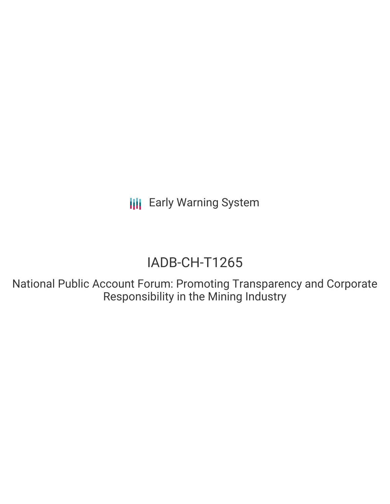**III** Early Warning System

## IADB-CH-T1265

National Public Account Forum: Promoting Transparency and Corporate Responsibility in the Mining Industry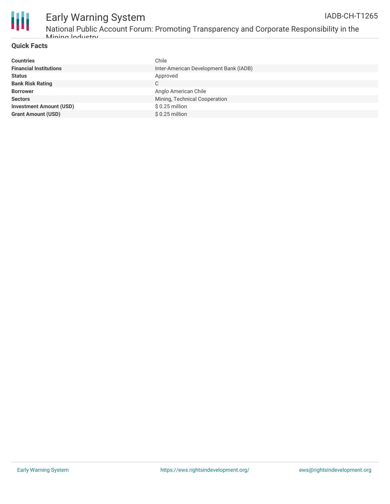

# Early Warning System

National Public Account Forum: Promoting Transparency and Corporate Responsibility in the Mining Industry

#### **Quick Facts**

| <b>Countries</b>               | Chile                                  |
|--------------------------------|----------------------------------------|
| <b>Financial Institutions</b>  | Inter-American Development Bank (IADB) |
| <b>Status</b>                  | Approved                               |
| <b>Bank Risk Rating</b>        | C                                      |
| <b>Borrower</b>                | Anglo American Chile                   |
| <b>Sectors</b>                 | Mining, Technical Cooperation          |
| <b>Investment Amount (USD)</b> | $$0.25$ million                        |
| <b>Grant Amount (USD)</b>      | $$0.25$ million                        |
|                                |                                        |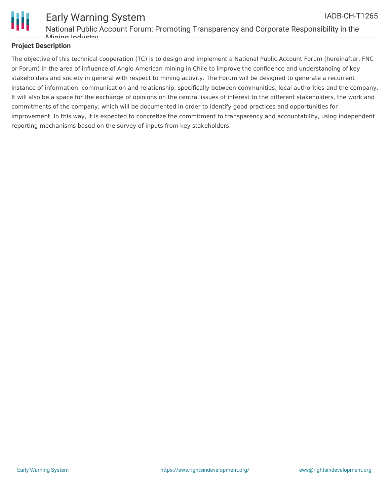

#### Early Warning System National Public Account Forum: Promoting Transparency and Corporate Responsibility in the Mining Industry IADB-CH-T1265

#### **Project Description**

The objective of this technical cooperation (TC) is to design and implement a National Public Account Forum (hereinafter, FNC or Forum) in the area of influence of Anglo American mining in Chile to improve the confidence and understanding of key stakeholders and society in general with respect to mining activity. The Forum will be designed to generate a recurrent instance of information, communication and relationship, specifically between communities, local authorities and the company. It will also be a space for the exchange of opinions on the central issues of interest to the different stakeholders, the work and commitments of the company, which will be documented in order to identify good practices and opportunities for improvement. In this way, it is expected to concretize the commitment to transparency and accountability, using independent reporting mechanisms based on the survey of inputs from key stakeholders.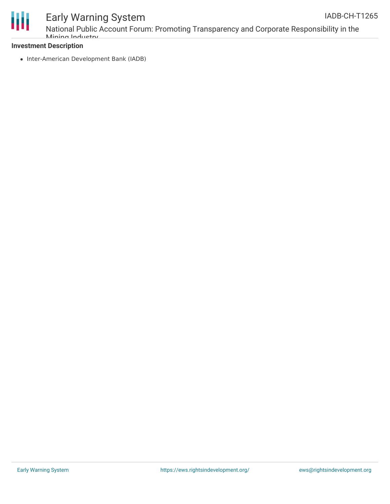

### Early Warning System

National Public Account Forum: Promoting Transparency and Corporate Responsibility in the Mining Industry

#### **Investment Description**

• Inter-American Development Bank (IADB)